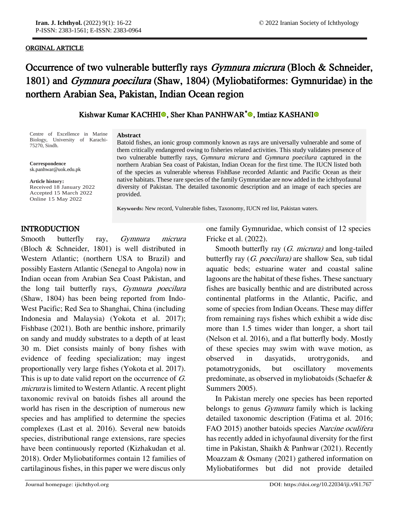### ORGINAL ARTICLE

j

# Occurrence of two vulnerable butterfly rays *Gymnura micrura* (Bloch & Schneider, 1801) and *Gymnura poecilura* (Shaw, 1804) (Myliobatiformes: Gymnuridae) in the northern Arabian Sea, Pakistan, Indian Ocean region

# Kishwar Kumar KACHH[I](https://orcid.org/0000-0001-9215-061X)<sup>o</sup>, Sher Khan PANHWAR<sup>[\\*](https://orcid.org/0000-0002-1442-5857)</sup><sup>o</sup>, Imtiaz KASHANI<sup>o</sup>

Centre of Excellence in Marine Biology, University of Karachi-75270, Sindh.

**Correspondence** sk.panhwar@uok.edu.pk

**Article history:**

Accepted 15 March 2022 Received 18 January 2022 Online 1 5 May 2022

#### **Abstract**

Batoid fishes, an ionic group commonly known as rays are universally vulnerable and some of them critically endangered owing to fisheries related activities. This study validates presence of two vulnerable butterfly rays, *Gymnura micrura* and *Gymnura poecilura* captured in the northern Arabian Sea coast of Pakistan, Indian Ocean for the first time. The IUCN listed both of the species as vulnerable whereas FishBase recorded Atlantic and Pacific Ocean as their native habitats. These rare species of the family Gymnuridae are now added in the ichthyofaunal diversity of Pakistan. The detailed taxonomic description and an image of each species are provided.

**Keywords:** New record, Vulnerable fishes, Taxonomy, IUCN red list, Pakistan waters.

# INTRODUCTION

Smooth butterfly ray, *Gymnura micrura* [\(Bloch](http://en.wikipedia.org/wiki/Marcus_Elieser_Bloch) & [Schneider,](http://en.wikipedia.org/wiki/Johann_Gottlob_Theaenus_Schneider) [1801\)](http://researcharchive.calacademy.org/research/ichthyology/catalog/getref.asp?id=471) is well distributed in Western Atlantic; (northern USA to Brazil) and possibly Eastern Atlantic (Senegal to Angola) now in Indian ocean from Arabian Sea Coast Pakistan, and the long tail butterfly rays, Gymnura poecilura (Shaw, 1804) has been being reported from Indo-West Pacific; Red Sea to Shanghai, China (including Indonesia and Malaysia) (Yokota et al. 2017); Fishbase (2021). Both are benthic inshore, primarily on sandy and muddy substrates to a depth of at least 30 m. Diet consists mainly of bony fishes with evidence of feeding specialization; may ingest proportionally very large fishes (Yokota et al. 2017). This is up to date valid report on the occurrence of G. micrura is limited to Western Atlantic. A recent plight taxonomic revival on batoids fishes all around the world has risen in the description of numerous new species and has amplified to determine the species complexes (Last et al. 2016). Several new batoids species, distributional range extensions, rare species have been continuously reported (Kizhakudan et al. 2018). Order Myliobatiformes contain 12 families of cartilaginous fishes, in this paper we were discus only

one family Gymnuridae, which consist of 12 species Fricke et al. (2022).

Smooth butterfly ray (*G. micrura*) and long-tailed butterfly ray (G. poecilura) are shallow Sea, sub tidal aquatic beds; estuarine water and coastal saline lagoons are the habitat of these fishes. These sanctuary fishes are basically benthic and are distributed across continental platforms in the Atlantic, Pacific, and some of species from Indian Oceans. These may differ from remaining rays fishes which exhibit a wide disc more than 1.5 times wider than longer, a short tail (Nelson et al. 2016), and a flat butterfly body. Mostly of these species may swim with wave motion, as observed in dasyatids, urotrygonids, and potamotrygonids, but oscillatory movements predominate, as observed in myliobatoids (Schaefer & Summers 2005).

In Pakistan merely one species has been reported belongs to genus *Gymnura* family which is lacking detailed taxonomic description (Fatima et al. 2016; FAO 2015) another batoids species Narcine oculifera has recently added in ichyofaunal diversity for the first time in Pakistan, Shaikh & Panhwar (2021). Recently Moazzam & Osmany (2021) gathered information on Myliobatiformes but did not provide detailed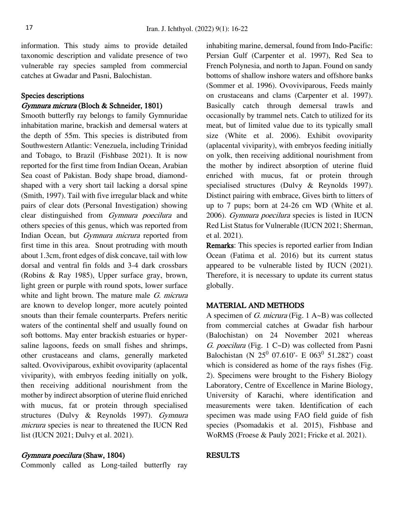information. This study aims to provide detailed taxonomic description and validate presence of two vulnerable ray species sampled from commercial catches at Gwadar and Pasni, Balochistan.

# Species descriptions

# Gymnura micrura (Bloch & Schneider, 1801)

Smooth butterfly ray belongs to family Gymnuridae inhabitation marine, brackish and demersal waters at the depth of 55m. This species is distributed from Southwestern Atlantic: Venezuela, including Trinidad and Tobago, to Brazil (Fishbase 2021). It is now reported for the first time from Indian Ocean, Arabian Sea coast of Pakistan. Body shape broad, diamondshaped with a very short tail lacking a dorsal spine (Smith, 1997). Tail with five irregular black and white pairs of clear dots (Personal Investigation) showing clear distinguished from Gymnura poecilura and others species of this genus, which was reported from Indian Ocean, but Gymnura micrura reported from first time in this area. Snout protruding with mouth about 1.3cm, front edges of disk concave, tail with low dorsal and ventral fin folds and 3-4 dark crossbars (Robins & Ray 1985), Upper surface gray, brown, light green or purple with round spots, lower surface white and light brown. The mature male  $G$ . micrura are known to develop longer, more acutely pointed snouts than their female counterparts. Prefers neritic waters of the continental shelf and usually found on soft bottoms. May enter brackish estuaries or hypersaline lagoons, feeds on small fishes and shrimps, other crustaceans and clams, generally marketed salted. Ovoviviparous, exhibit ovoviparity (aplacental viviparity), with embryos feeding initially on yolk, then receiving additional nourishment from the mother by indirect absorption of uterine fluid enriched with mucus, fat or protein through specialised structures (Dulvy & Reynolds 1997). Gymnura micrura species is near to threatened the IUCN Red list (IUCN 2021; Dulvy et al. 2021).

# Gymnura poecilura (Shaw, 1804)

Commonly called as Long-tailed butterfly ray

inhabiting marine, demersal, found from Indo-Pacific: Persian Gulf (Carpenter et al. 1997), Red Sea to French Polynesia, and north to Japan. Found on sandy bottoms of shallow inshore waters and offshore banks (Sommer et al. 1996). Ovoviviparous, Feeds mainly on crustaceans and clams (Carpenter et al. 1997). Basically catch through demersal trawls and occasionally by trammel nets. Catch to utilized for its meat, but of limited value due to its typically small size (White et al. 2006). Exhibit ovoviparity (aplacental viviparity), with embryos feeding initially on yolk, then receiving additional nourishment from the mother by indirect absorption of uterine fluid enriched with mucus, fat or protein through specialised structures (Dulvy & Reynolds 1997). Distinct pairing with embrace, Gives birth to litters of up to 7 pups; born at 24-26 cm WD (White et al. 2006). Gymnura poecilura species is listed in IUCN Red List Status for Vulnerable (IUCN 2021; Sherman, et al. 2021).

Remarks: This species is reported earlier from Indian Ocean (Fatima et al. 2016) but its current status appeared to be vulnerable listed by IUCN (2021). Therefore, it is necessary to update its current status globally.

#### MATERIAL AND METHODS

A specimen of G. micrura (Fig. 1 A~B) was collected from commercial catches at Gwadar fish harbour (Balochistan) on 24 November 2021 whereas G. poecilura (Fig. 1 C~D) was collected from Pasni Balochistan (N  $25^0$  07.610'- E 063<sup>0</sup> 51.282') coast which is considered as home of the rays fishes (Fig. 2). Specimens were brought to the Fishery Biology Laboratory, Centre of Excellence in Marine Biology, University of Karachi, where identification and measurements were taken. Identification of each specimen was made using FAO field guide of fish species (Psomadakis et al. 2015), Fishbase and WoRMS (Froese & Pauly 2021; Fricke et al. 2021).

#### RESULTS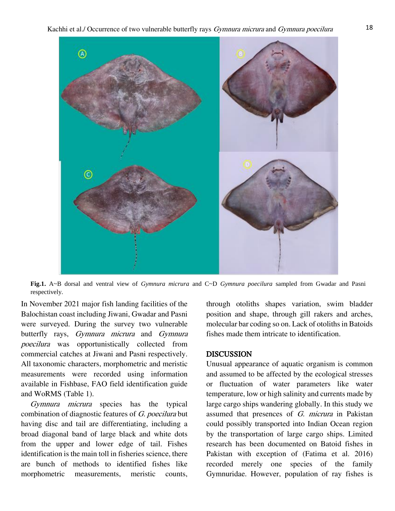

**Fig.1.** A~B dorsal and ventral view of *Gymnura micrura* and C~D *Gymnura poecilura* sampled from Gwadar and Pasni respectively.

In November 2021 major fish landing facilities of the Balochistan coast including Jiwani, Gwadar and Pasni were surveyed. During the survey two vulnerable butterfly rays, Gymnura micrura and Gymnura poecilura was opportunistically collected from commercial catches at Jiwani and Pasni respectively. All taxonomic characters, morphometric and meristic measurements were recorded using information available in Fishbase, FAO field identification guide and WoRMS (Table 1).

Gymnura micrura species has the typical combination of diagnostic features of G. poecilura but having disc and tail are differentiating, including a broad diagonal band of large black and white dots from the upper and lower edge of tail. Fishes identification is the main toll in fisheries science, there are bunch of methods to identified fishes like morphometric measurements, meristic counts,

through otoliths shapes variation, swim bladder position and shape, through gill rakers and arches, molecular bar coding so on. Lack of otoliths in Batoids fishes made them intricate to identification.

#### DISCUSSION

Unusual appearance of aquatic organism is common and assumed to be affected by the ecological stresses or fluctuation of water parameters like water temperature, low or high salinity and currents made by large cargo ships wandering globally. In this study we assumed that presences of G. micrura in Pakistan could possibly transported into Indian Ocean region by the transportation of large cargo ships. Limited research has been documented on Batoid fishes in Pakistan with exception of (Fatima et al. 2016) recorded merely one species of the family Gymnuridae. However, population of ray fishes is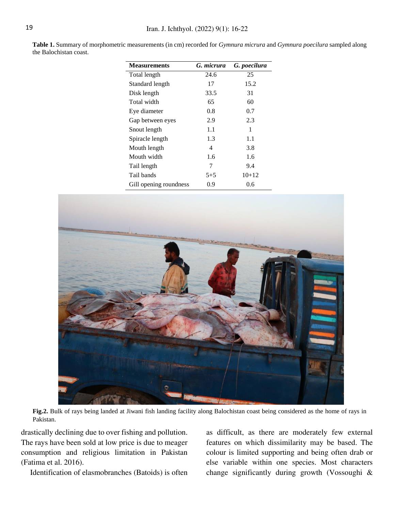**Table 1.** Summary of morphometric measurements (in cm) recorded for *Gymnura micrura* and *Gymnura poecilura* sampled along the Balochistan coast.

| <b>Measurements</b>    | G. micrura | G. poecilura |
|------------------------|------------|--------------|
| Total length           | 24.6       | 25           |
| Standard length        | 17         | 15.2         |
| Disk length            | 33.5       | 31           |
| Total width            | 65         | 60           |
| Eye diameter           | 0.8        | 0.7          |
| Gap between eyes       | 2.9        | 2.3          |
| Snout length           | 1.1        | 1            |
| Spiracle length        | 1.3        | 1.1          |
| Mouth length           | 4          | 3.8          |
| Mouth width            | 1.6        | 1.6          |
| Tail length            | 7          | 9.4          |
| Tail bands             | $5 + 5$    | $10+12$      |
| Gill opening roundness | 0.9        | 0.6          |



**Fig.2.** Bulk of rays being landed at Jiwani fish landing facility along Balochistan coast being considered as the home of rays in Pakistan.

drastically declining due to over fishing and pollution. The rays have been sold at low price is due to meager consumption and religious limitation in Pakistan (Fatima et al. 2016).

Identification of elasmobranches (Batoids) is often

as difficult, as there are moderately few external features on which dissimilarity may be based. The colour is limited supporting and being often drab or else variable within one species. Most characters change significantly during growth (Vossoughi &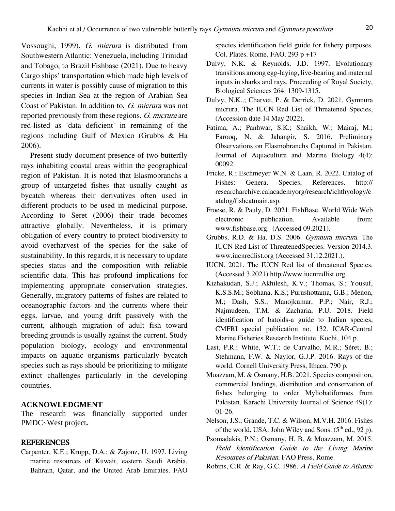Vossoughi, 1999). G. micrura is distributed from Southwestern Atlantic: Venezuela, including Trinidad and Tobago, to Brazil Fishbase (2021). Due to heavy Cargo ships' transportation which made high levels of currents in water is possibly cause of migration to this species in Indian Sea at the region of Arabian Sea Coast of Pakistan. In addition to, G. micrura was not reported previously from these regions. G. micrura are red-listed as 'data deficient' in remaining of the regions including Gulf of Mexico (Grubbs & Ha 2006).

Present study document presence of two butterfly rays inhabiting coastal areas within the geographical region of Pakistan. It is noted that Elasmobranchs a group of untargeted fishes that usually caught as bycatch whereas their derivatives often used in different products to be used in medicinal purpose. According to Seret (2006) their trade becomes attractive globally. Nevertheless, it is primary obligation of every country to protect biodiversity to avoid overharvest of the species for the sake of sustainability. In this regards, it is necessary to update species status and the composition with reliable scientific data. This has profound implications for implementing appropriate conservation strategies. Generally, migratory patterns of fishes are related to oceanographic factors and the currents where their eggs, larvae, and young drift passively with the current, although migration of adult fish toward breeding grounds is usually against the current. Study population biology, ecology and environmental impacts on aquatic organisms particularly bycatch species such as rays should be prioritizing to mitigate extinct challenges particularly in the developing countries.

#### **ACKNOWLEDGMENT**

The research was financially supported under PMDC~West project**.**

#### REFERENCES

Carpenter, K.E.; Krupp, D.A.; & Zajonz, U. 1997. Living marine resources of Kuwait, eastern Saudi Arabia, Bahrain, Qatar, and the United Arab Emirates. FAO species identification field guide for fishery purposes. Col. Plates. Rome, FAO. 293 p +17

- Dulvy, N.K. & Reynolds, J.D. 1997. Evolutionary transitions among egg-laying, live-bearing and maternal inputs in sharks and rays. Proceeding of Royal Society, Biological Sciences 264: 1309-1315.
- Dulvy, N.K..; Charvet, P. & Derrick, D. 2021. Gymnura micrura. The IUCN Red List of Threatened Species, (Accession date 14 May 2022).
- Fatima, A.; Panhwar, S.K.; Shaikh, W.; Mairaj, M.; Farooq, N. & Jahangir, S. 2016. Preliminary Observations on Elasmobranchs Captured in Pakistan. Journal of Aquaculture and Marine Biology 4(4): 00092.
- Fricke, R.; Eschmeyer W.N. & Laan, R. 2022. Catalog of Fishes: Genera, Species, References. http:// researcharchive.calacademyorg/research/ichthyology/c atalog/fishcatmain.asp.
- Froese, R. & Pauly, D. 2021. FishBase. World Wide Web electronic publication. Available from: www.fishbase.org. (Accessed 09.2021).
- Grubbs, R.D. & Ha, D.S. 2006. Gymnura micrura. The IUCN Red List of ThreatenedSpecies. Version 2014.3. www.iucnredlist.org (Accessed 31.12.2021.).
- IUCN. 2021. The IUCN Red list of threatened Species. (Accessed 3.2021) [http://www.iucnredlist.org.](http://www.iucnredlist.org/)
- Kizhakudan, S.J.; Akhilesh, K.V.; Thomas, S.; Yousuf, K.S.S.M.; Sobhana, K.S.; Purushottama, G.B.; Menon, M.; Dash, S.S.; Manojkumar, P.P.; Nair, R.J.; Najmudeen, T.M. & Zacharia, P.U. 2018. Field identification of batoids-a guide to Indian species, CMFRI special publication no. 132. ICAR-Central Marine Fisheries Research Institute, Kochi, 104 p.
- Last, P.R.; White, W.T.; de Carvalho, M.R.; Séret, B.; Stehmann, F.W. & Naylor, G.J.P. 2016. Rays of the world. Cornell University Press, Ithaca. 790 p.
- Moazzam, M. & Osmany, H.B. 2021. Species composition, commercial landings, distribution and conservation of fishes belonging to order Myliobatiformes from Pakistan. Karachi University Journal of Science 49(1): 01-26.
- Nelson, J.S.; Grande, T.C. & Wilson, M.V.H. 2016. Fishes of the world. USA: John Wiley and Sons.  $(5<sup>th</sup>$  ed., 92 p).
- Psomadakis, P.N.; Osmany, H. B. & Moazzam, M. 2015. Field Identification Guide to the Living Marine Resources of Pakistan. FAO Press, Rome.
- Robins, C.R. & Ray, G.C. 1986. A Field Guide to Atlantic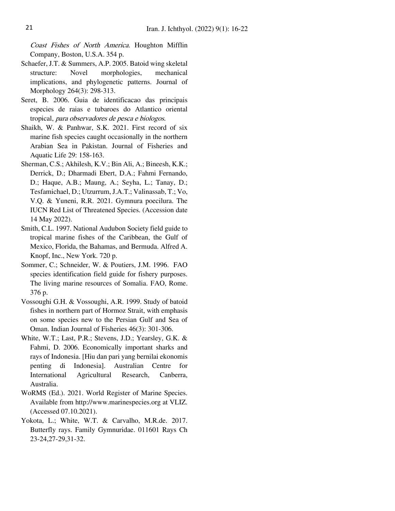Coast Fishes of North America. Houghton Mifflin Company, Boston, U.S.A. 354 p.

- Schaefer, J.T. & Summers, A.P. 2005. Batoid wing skeletal structure: Novel morphologies, mechanical implications, and phylogenetic patterns. Journal of Morphology 264(3): 298-313.
- Seret, B. 2006. Guia de identificacao das principais especies de raias e tubaroes do Atlantico oriental tropical, para observadores de pesca e biologos.
- Shaikh, W. & Panhwar, S.K. 2021. First record of six marine fish species caught occasionally in the northern Arabian Sea in Pakistan. Journal of Fisheries and Aquatic Life 29: 158-163.
- Sherman, C.S.; Akhilesh, K.V.; Bin Ali, A.; Bineesh, K.K.; Derrick, D.; Dharmadi Ebert, D.A.; Fahmi Fernando, D.; Haque, A.B.; Maung, A.; Seyha, L.; Tanay, D.; Tesfamichael, D.; Utzurrum, J.A.T.; Valinassab, T.; Vo, V.Q. & Yuneni, R.R. 2021. Gymnura poecilura. The IUCN Red List of Threatened Species. (Accession date 14 May 2022).
- Smith, C.L. 1997. National Audubon Society field guide to tropical marine fishes of the Caribbean, the Gulf of Mexico, Florida, the Bahamas, and Bermuda. Alfred A. Knopf, Inc., New York. 720 p.
- Sommer, C.; Schneider, W. & Poutiers, J.M. 1996. FAO species identification field guide for fishery purposes. The living marine resources of Somalia. FAO, Rome. 376 p.
- Vossoughi G.H. & Vossoughi, A.R. 1999. Study of batoid fishes in northern part of Hormoz Strait, with emphasis on some species new to the Persian Gulf and Sea of Oman. Indian Journal of Fisheries 46(3): 301-306.
- White, W.T.; Last, P.R.; Stevens, J.D.; Yearsley, G.K. & Fahmi, D. 2006. Economically important sharks and rays of Indonesia. [Hiu dan pari yang bernilai ekonomis penting di Indonesia]. Australian Centre for International Agricultural Research, Canberra, Australia.
- WoRMS (Ed.). 2021. World Register of Marine Species. Available from http://www.marinespecies.org at VLIZ. (Accessed 07.10.2021).
- Yokota, L.; White, W.T. & Carvalho, M.R.de. 2017. Butterfly rays. Family Gymnuridae. 011601 Rays Ch 23-24,27-29,31-32.